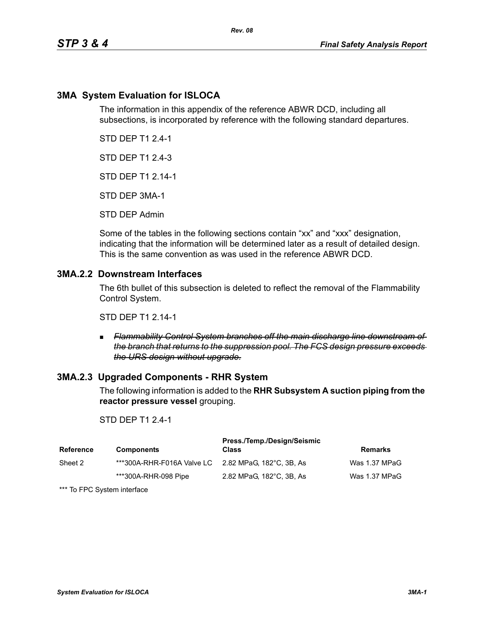### **3MA System Evaluation for ISLOCA**

The information in this appendix of the reference ABWR DCD, including all subsections, is incorporated by reference with the following standard departures.

STD DEP T1 2.4-1

STD DEP T1 2.4-3

STD DEP T1 2.14-1

STD DEP 3MA-1

STD DEP Admin

Some of the tables in the following sections contain "xx" and "xxx" designation, indicating that the information will be determined later as a result of detailed design. This is the same convention as was used in the reference ABWR DCD.

### **3MA.2.2 Downstream Interfaces**

The 6th bullet of this subsection is deleted to reflect the removal of the Flammability Control System.

STD DEP T1 2.14-1

 *Flammability Control System branches off the main discharge line downstream of the branch that returns to the suppression pool. The FCS design pressure exceeds the URS design without upgrade.*

### **3MA.2.3 Upgraded Components - RHR System**

The following information is added to the **RHR Subsystem A suction piping from the reactor pressure vessel** grouping.

### STD DEP T1 2.4-1

| <b>Reference</b> | <b>Components</b>                                   | Press./Temp./Design/Seismic<br><b>Class</b> | <b>Remarks</b> |
|------------------|-----------------------------------------------------|---------------------------------------------|----------------|
| Sheet 2          | ***300A-RHR-F016A Valve LC 2.82 MPaG. 182°C. 3B. As |                                             | Was 1.37 MPaG  |
|                  | ***300A-RHR-098 Pipe                                | 2.82 MPaG, 182°C, 3B, As                    | Was 1.37 MPaG  |

\*\*\* To FPC System interface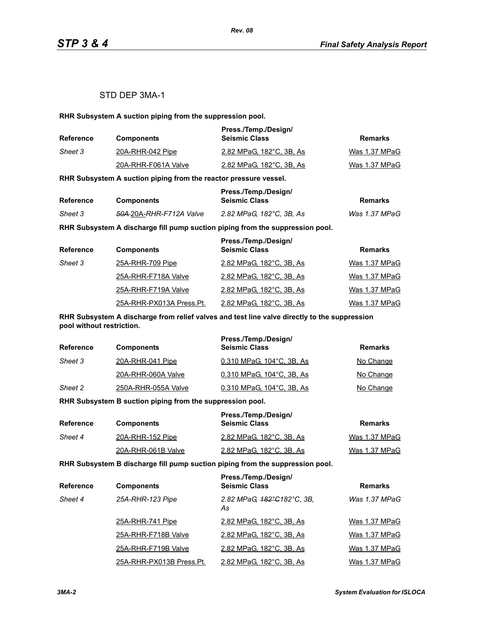### STD DEP 3MA-1

**RHR Subsystem A suction piping from the suppression pool.**

| <b>Reference</b> | <b>Components</b>   | Press./Temp./Design/<br><b>Seismic Class</b> | Remarks       |
|------------------|---------------------|----------------------------------------------|---------------|
| Sheet 3          | 20A-RHR-042 Pipe    | 2.82 MPaG. 182°C. 3B. As                     | Was 1.37 MPaG |
|                  | 20A-RHR-F061A Valve | 2.82 MPaG, 182°C, 3B, As                     | Was 1.37 MPaG |

**RHR Subsystem A suction piping from the reactor pressure vessel.**

| Reference |                                     | Press./Temp./Design/     |               |
|-----------|-------------------------------------|--------------------------|---------------|
|           | <b>Components</b>                   | <b>Seismic Class</b>     | Remarks       |
| Sheet 3   | <del>50A 2</del> 0A-RHR-F712A Valve | 2.82 MPaG. 182°C. 3B. As | Was 1.37 MPaG |

**RHR Subsystem A discharge fill pump suction piping from the suppression pool.**

| <b>Reference</b> | <b>Components</b>        | Press./Temp./Design/<br><b>Seismic Class</b> | <b>Remarks</b> |
|------------------|--------------------------|----------------------------------------------|----------------|
| Sheet 3          | 25A-RHR-709 Pipe         | 2.82 MPaG, 182°C, 3B, As                     | Was 1.37 MPaG  |
|                  | 25A-RHR-F718A Valve      | 2.82 MPaG, 182°C, 3B, As                     | Was 1.37 MPaG  |
|                  | 25A-RHR-F719A Valve      | 2.82 MPaG, 182°C, 3B, As                     | Was 1.37 MPaG  |
|                  | 25A-RHR-PX013A Press.Pt. | 2.82 MPaG, 182°C, 3B, As                     | Was 1.37 MPaG  |

**RHR Subsystem A discharge from relief valves and test line valve directly to the suppression pool without restriction.**

| <b>Reference</b> | <b>Components</b>   | Press./Temp./Design/<br><b>Seismic Class</b> | Remarks   |
|------------------|---------------------|----------------------------------------------|-----------|
| Sheet 3          | 20A-RHR-041 Pipe    | 0.310 MPaG, 104°C, 3B, As                    | No Change |
|                  | 20A-RHR-060A Valve  | 0.310 MPaG, 104°C, 3B, As                    | No Change |
| Sheet 2          | 250A-RHR-055A Valve | 0.310 MPaG, 104°C, 3B, As                    | No Change |

**RHR Subsystem B suction piping from the suppression pool.**

| <b>Reference</b> | <b>Components</b>  | Press./Temp./Design/<br><b>Seismic Class</b> | Remarks       |
|------------------|--------------------|----------------------------------------------|---------------|
| Sheet 4          | 20A-RHR-152 Pipe   | 2.82 MPaG, 182°C, 3B, As                     | Was 1.37 MPaG |
|                  | 20A-RHR-061B Valve | 2.82 MPaG, 182°C, 3B, As                     | Was 1.37 MPaG |

**RHR Subsystem B discharge fill pump suction piping from the suppression pool.**

| <b>Reference</b> | <b>Components</b>        | Press./Temp./Design/<br><b>Seismic Class</b> | <b>Remarks</b> |
|------------------|--------------------------|----------------------------------------------|----------------|
| Sheet 4          | 25A-RHR-123 Pipe         | 2.82 MPaG, 182°C182°C, 3B,<br>As             | Was 1.37 MPaG  |
|                  | 25A-RHR-741 Pipe         | 2.82 MPaG, 182°C, 3B, As                     | Was 1.37 MPaG  |
|                  | 25A-RHR-F718B Valve      | 2.82 MPaG, 182°C, 3B, As                     | Was 1.37 MPaG  |
|                  | 25A-RHR-F719B Valve      | 2.82 MPaG, 182°C, 3B, As                     | Was 1.37 MPaG  |
|                  | 25A-RHR-PX013B Press.Pt. | 2.82 MPaG, 182°C, 3B, As                     | Was 1.37 MPaG  |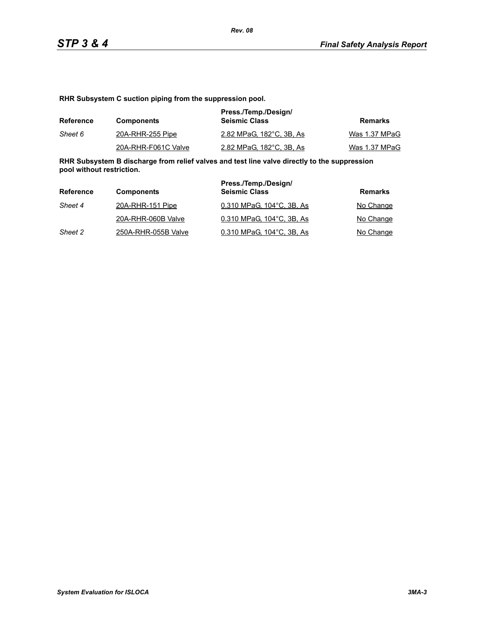**RHR Subsystem C suction piping from the suppression pool.**

| Reference | <b>Components</b>   | Press./Temp./Design/<br><b>Seismic Class</b> | Remarks       |
|-----------|---------------------|----------------------------------------------|---------------|
| Sheet 6   | 20A-RHR-255 Pipe    | 2.82 MPaG, 182°C, 3B, As                     | Was 1.37 MPaG |
|           | 20A-RHR-F061C Valve | 2.82 MPaG, 182°C, 3B, As                     | Was 1.37 MPaG |

**RHR Subsystem B discharge from relief valves and test line valve directly to the suppression pool without restriction.**

| Reference | <b>Components</b>   | Press./Temp./Design/<br><b>Seismic Class</b> | Remarks   |
|-----------|---------------------|----------------------------------------------|-----------|
| Sheet 4   | 20A-RHR-151 Pipe    | 0.310 MPaG, 104°C, 3B, As                    | No Change |
|           | 20A-RHR-060B Valve  | 0.310 MPaG. 104°C. 3B. As                    | No Change |
| Sheet 2   | 250A-RHR-055B Valve | 0.310 MPaG, 104°C, 3B, As                    | No Change |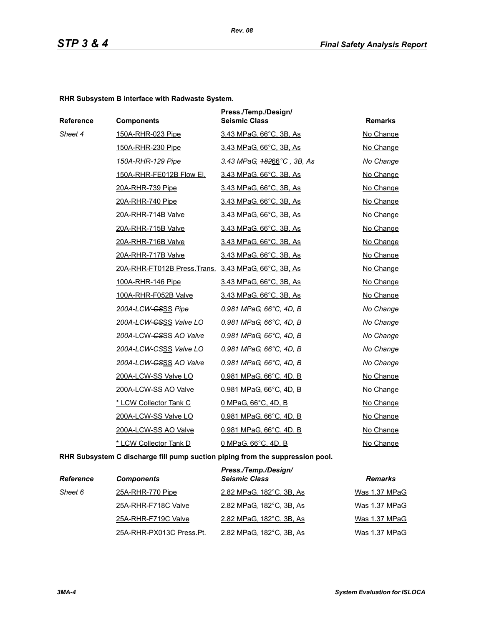*Rev. 08*

**RHR Subsystem B interface with Radwaste System.**

| Reference | <b>Components</b>                                   | Press./Temp./Design/<br><b>Seismic Class</b> | <b>Remarks</b> |
|-----------|-----------------------------------------------------|----------------------------------------------|----------------|
| Sheet 4   | 150A-RHR-023 Pipe                                   | 3.43 MPaG, 66°C, 3B, As                      | No Change      |
|           | 150A-RHR-230 Pipe                                   | 3.43 MPaG, 66°C, 3B, As                      | No Change      |
|           | 150A-RHR-129 Pipe                                   | 3.43 MPaG, $48266^{\circ}$ C, 3B, As         | No Change      |
|           | 150A-RHR-FE012B Flow El.                            | 3.43 MPaG, 66°C, 3B, As                      | No Change      |
|           | 20A-RHR-739 Pipe                                    | 3.43 MPaG, 66°C, 3B, As                      | No Change      |
|           | 20A-RHR-740 Pipe                                    | 3.43 MPaG, 66°C, 3B, As                      | No Change      |
|           | 20A-RHR-714B Valve                                  | 3.43 MPaG, 66°C, 3B, As                      | No Change      |
|           | 20A-RHR-715B Valve                                  | 3.43 MPaG, 66°C, 3B, As                      | No Change      |
|           | 20A-RHR-716B Valve                                  | 3.43 MPaG, 66°C, 3B, As                      | No Change      |
|           | 20A-RHR-717B Valve                                  | 3.43 MPaG, 66°C, 3B, As                      | No Change      |
|           | 20A-RHR-FT012B Press.Trans. 3.43 MPaG, 66°C, 3B, As |                                              | No Change      |
|           | 100A-RHR-146 Pipe                                   | 3.43 MPaG, 66°C, 3B, As                      | No Change      |
|           | 100A-RHR-F052B Valve                                | 3.43 MPaG, 66°C, 3B, As                      | No Change      |
|           | 200A-LCW-CSSS Pipe                                  | 0.981 MPaG, 66°C, 4D, B                      | No Change      |
|           | 200A-LCW-CSSS Valve LO                              | 0.981 MPaG, 66°C, 4D, B                      | No Change      |
|           | 200A-LCW-CSSS AO Valve                              | 0.981 MPaG, 66°C, 4D, B                      | No Change      |
|           | 200A-LCW-GSSS Valve LO                              | 0.981 MPaG, 66°C, 4D, B                      | No Change      |
|           | 200A-LCW- <del>CSSS</del> AO Valve                  | 0.981 MPaG, 66°C, 4D, B                      | No Change      |
|           | 200A-LCW-SS Valve LO                                | <u>0.981 MPaG, 66°C, 4D, B</u>               | No Change      |
|           | 200A-LCW-SS AO Valve                                | 0.981 MPaG, 66°C, 4D, B                      | No Change      |
|           | * LCW Collector Tank C                              | 0 MPaG, 66°C, 4D, B                          | No Change      |
|           | 200A-LCW-SS Valve LO                                | 0.981 MPaG, 66°C, 4D, B                      | No Change      |
|           | 200A-LCW-SS AO Valve                                | 0.981 MPaG, 66°C, 4D, B                      | No Change      |
|           | * LCW Collector Tank D                              | 0 MPaG, 66°C, 4D, B                          | No Change      |

**RHR Subsystem C discharge fill pump suction piping from the suppression pool.**

| <b>Reference</b> | <b>Components</b>        | Press./Temp./Design/<br><b>Seismic Class</b> | <b>Remarks</b> |
|------------------|--------------------------|----------------------------------------------|----------------|
| Sheet 6          | 25A-RHR-770 Pipe         | 2.82 MPaG, 182°C, 3B, As                     | Was 1.37 MPaG  |
|                  | 25A-RHR-F718C Valve      | 2.82 MPaG, 182°C, 3B, As                     | Was 1.37 MPaG  |
|                  | 25A-RHR-F719C Valve      | 2.82 MPaG, 182°C, 3B, As                     | Was 1.37 MPaG  |
|                  | 25A-RHR-PX013C Press.Pt. | 2.82 MPaG, 182°C, 3B, As                     | Was 1.37 MPaG  |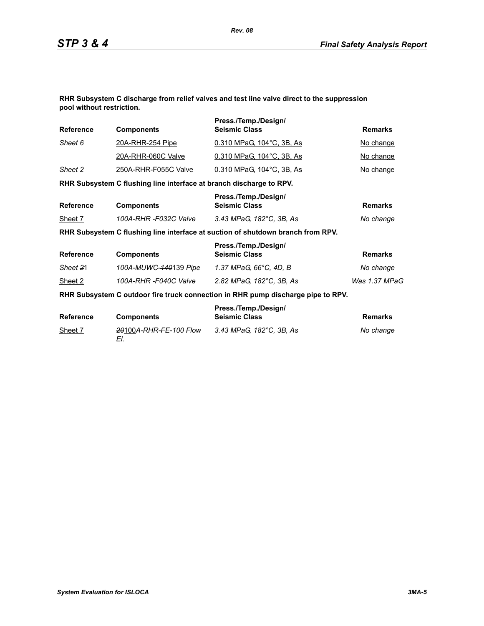**RHR Subsystem C discharge from relief valves and test line valve direct to the suppression pool without restriction.**

| <b>Reference</b> | <b>Components</b>                                                   | Press./Temp./Design/<br><b>Seismic Class</b>                                     | <b>Remarks</b> |
|------------------|---------------------------------------------------------------------|----------------------------------------------------------------------------------|----------------|
| Sheet 6          | <u>20A-RHR-254 Pipe</u>                                             | 0.310 MPaG, 104°C, 3B, As                                                        | No change      |
|                  | 20A-RHR-060C Valve                                                  | 0.310 MPaG, 104°C, 3B, As                                                        | No change      |
| Sheet 2          | 250A-RHR-F055C Valve                                                | 0.310 MPaG, 104°C, 3B, As                                                        | No change      |
|                  | RHR Subsystem C flushing line interface at branch discharge to RPV. |                                                                                  |                |
| <b>Reference</b> | <b>Components</b>                                                   | Press./Temp./Design/<br><b>Seismic Class</b>                                     | <b>Remarks</b> |
| Sheet 7          | 100A-RHR -F032C Valve                                               | 3.43 MPaG, 182°C, 3B, As                                                         | No change      |
|                  |                                                                     | RHR Subsystem C flushing line interface at suction of shutdown branch from RPV.  |                |
| <b>Reference</b> | <b>Components</b>                                                   | Press./Temp./Design/<br><b>Seismic Class</b>                                     | <b>Remarks</b> |
| Sheet 21         | 100A-MUWC-140139 Pipe                                               | 1.37 MPaG, 66°C, 4D, B                                                           | No change      |
| Sheet 2          | 100A-RHR-F040C Valve                                                | 2.82 MPaG, 182°C, 3B, As                                                         | Was 1.37 MPaG  |
|                  |                                                                     | RHR Subsystem C outdoor fire truck connection in RHR pump discharge pipe to RPV. |                |
| <b>Reference</b> | <b>Components</b>                                                   | Press./Temp./Design/<br><b>Seismic Class</b>                                     | <b>Remarks</b> |
| Sheet 7          | 20100A-RHR-FE-100 Flow<br>EI.                                       | 3.43 MPaG, 182°C, 3B, As                                                         | No change      |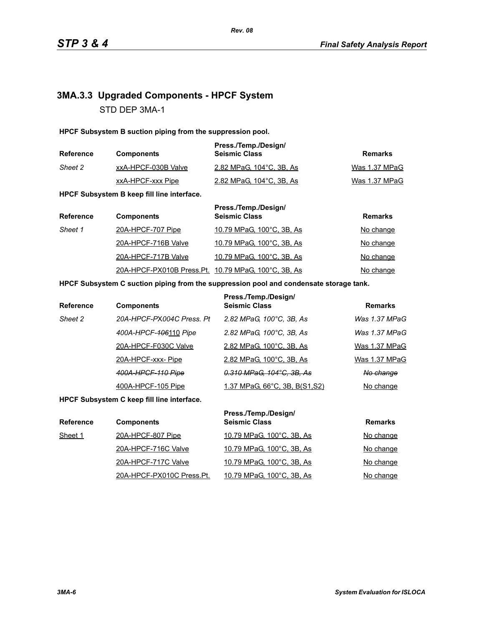# **3MA.3.3 Upgraded Components - HPCF System** STD DEP 3MA-1

**HPCF Subsystem B suction piping from the suppression pool.**

| <b>Reference</b> | <b>Components</b>   | Press./Temp./Design/<br><b>Seismic Class</b> | Remarks       |
|------------------|---------------------|----------------------------------------------|---------------|
| Sheet 2          | xxA-HPCF-030B Valve | 2.82 MPaG, 104°C, 3B, As                     | Was 1.37 MPaG |
|                  | xxA-HPCF-xxx Pipe   | 2.82 MPaG, 104 °C, 3B, As                    | Was 1.37 MPaG |

**HPCF Subsystem B keep fill line interface.**

| <b>Reference</b> | <b>Components</b>                                   | Press./Temp./Design/<br><b>Seismic Class</b> | <b>Remarks</b>   |
|------------------|-----------------------------------------------------|----------------------------------------------|------------------|
| Sheet 1          | 20A-HPCF-707 Pipe                                   | 10.79 MPaG, 100°C, 3B, As                    | <u>No change</u> |
|                  | 20A-HPCF-716B Valve                                 | 10.79 MPaG, 100°C, 3B, As                    | No change        |
|                  | 20A-HPCF-717B Valve                                 | 10.79 MPaG, 100°C, 3B, As                    | No change        |
|                  | 20A-HPCF-PX010B Press.Pt. 10.79 MPaG, 100°C, 3B, As |                                              | No change        |

#### **HPCF Subsystem C suction piping from the suppression pool and condensate storage tank.**

| Reference | <b>Components</b>         | Press./Temp./Design/<br><b>Seismic Class</b> | <b>Remarks</b> |
|-----------|---------------------------|----------------------------------------------|----------------|
| Sheet 2   | 20A-HPCF-PX004C Press, Pt | 2.82 MPaG, 100°C, 3B, As                     | Was 1.37 MPaG  |
|           | 400A-HPCF-406110 Pipe     | 2.82 MPaG, 100°C, 3B, As                     | Was 1.37 MPaG  |
|           | 20A-HPCF-F030C Valve      | 2.82 MPaG, 100°C, 3B, As                     | Was 1.37 MPaG  |
|           | 20A-HPCF-xxx-Pipe         | 2.82 MPaG, 100°C, 3B, As                     | Was 1.37 MPaG  |
|           | 400A-HPCF-110 Pipe        | 0.310 MPaG, 104°C, 3B, As                    | No change      |
|           | 400A-HPCF-105 Pipe        | 1.37 MPaG, 66°C, 3B, B(S1,S2)                | No change      |

**HPCF Subsystem C keep fill line interface.**

| <b>Reference</b> | <b>Components</b>         | Press./Temp./Design/<br><b>Seismic Class</b> | <b>Remarks</b> |
|------------------|---------------------------|----------------------------------------------|----------------|
| Sheet 1          | 20A-HPCF-807 Pipe         | 10.79 MPaG, 100°C, 3B, As                    | No change      |
|                  | 20A-HPCF-716C Valve       | 10.79 MPaG, 100°C, 3B, As                    | No change      |
|                  | 20A-HPCF-717C Valve       | 10.79 MPaG, 100°C, 3B, As                    | No change      |
|                  | 20A-HPCF-PX010C Press.Pt. | 10.79 MPaG, 100°C, 3B, As                    | No change      |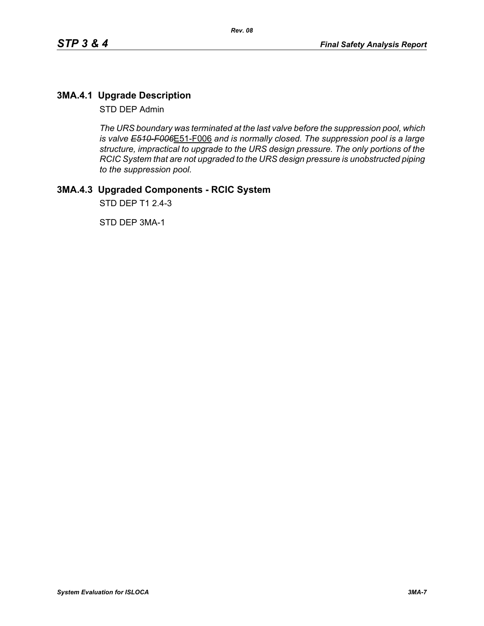## **3MA.4.1 Upgrade Description**

STD DEP Admin

*The URS boundary was terminated at the last valve before the suppression pool, which is valve E510-F006*E51-F006 *and is normally closed. The suppression pool is a large structure, impractical to upgrade to the URS design pressure. The only portions of the RCIC System that are not upgraded to the URS design pressure is unobstructed piping to the suppression pool.*

# **3MA.4.3 Upgraded Components - RCIC System**

STD DEP T1 2.4-3

STD DEP 3MA-1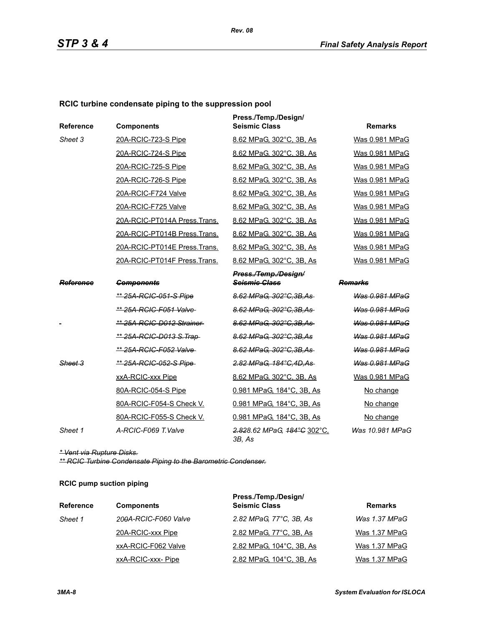### **RCIC turbine condensate piping to the suppression pool**

| <b>Reference</b> | <b>Components</b>               | Press./Temp./Design/<br><b>Seismic Class</b> | <b>Remarks</b>        |
|------------------|---------------------------------|----------------------------------------------|-----------------------|
| Sheet 3          | 20A-RCIC-723-S Pipe             | 8.62 MPaG, 302°C, 3B, As                     | Was 0.981 MPaG        |
|                  | 20A-RCIC-724-S Pipe             | 8.62 MPaG, 302°C, 3B, As                     | Was 0.981 MPaG        |
|                  | 20A-RCIC-725-S Pipe             | 8.62 MPaG. 302°C. 3B. As                     | Was 0.981 MPaG        |
|                  | 20A-RCIC-726-S Pipe             | 8.62 MPaG, 302°C, 3B, As                     | Was 0.981 MPaG        |
|                  | 20A-RCIC-F724 Valve             | 8.62 MPaG, 302°C, 3B, As                     | Was 0.981 MPaG        |
|                  | 20A-RCIC-F725 Valve             | 8.62 MPaG, 302°C, 3B, As                     | Was 0.981 MPaG        |
|                  | 20A-RCIC-PT014A Press. Trans.   | 8.62 MPaG, 302°C, 3B, As                     | Was 0.981 MPaG        |
|                  | 20A-RCIC-PT014B Press.Trans.    | 8.62 MPaG, 302°C, 3B, As                     | Was 0.981 MPaG        |
|                  | 20A-RCIC-PT014E Press.Trans.    | 8.62 MPaG, 302°C, 3B, As                     | Was 0.981 MPaG        |
|                  | 20A-RCIC-PT014F Press.Trans.    | 8.62 MPaG, 302°C, 3B, As                     | Was 0.981 MPaG        |
|                  |                                 | Press./Temp./Design/                         |                       |
| Reference        | <b>Components</b>               | <b>Seismie Glass</b>                         | Remarks               |
|                  | <u>** 25A-RCIC-051-S Pipe</u>   | 8.62 MPaG, 302°C, 3B, As                     | Was 0.981 MPaG        |
|                  | ** 25A-RCIC-F051 Valve-         | 8.62 MPaG, 302°C.3B.As                       | Was 0.981 MPaG        |
|                  | ** 25A-RCIC-D012 Strainer       | 8.62 MPaG, 302°C, 3B, As                     | Was 0.981 MPaG        |
|                  | <u>** 25A-RCIC-D013 S.Trap-</u> | 8.62 MPaG, 302°C, 3B, As                     | <b>Was 0.981 MPaG</b> |
|                  | ** 25A-RCIC-F052 Valve-         | 8.62 MPaG, 302°C, 3B, As                     | Was 0.981 MPaG        |
| Sheet 3          | ** 25A-RCIC-052-S Pipe          | 2.82 MPaG, 184°C, 4D, As                     | Was 0.981 MPaG        |
|                  | xxA-RCIC-xxx Pipe               | 8.62 MPaG, 302°C, 3B, As                     | Was 0.981 MPaG        |
|                  | 80A-RCIC-054-S Pipe             | 0.981 MPaG, 184°C, 3B, As                    | No change             |
|                  | 80A-RCIC-F054-S Check V.        | 0.981 MPaG, 184°C, 3B, As                    | No change             |
|                  | 80A-RCIC-F055-S Check V.        | 0.981 MPaG, 184°C, 3B, As                    | No change             |
| Sheet 1          | A-RCIC-F069 T.Valve             | 2.828.62 MPaG, 184°C 302°C,<br>3B, As        | Was 10.981 MPaG       |

*\* Vent via Rupture Disks.*

*\*\* RCIC Turbine Condensate Piping to the Barometric Condenser.*

#### **RCIC pump suction piping**

| <b>Reference</b> | <b>Components</b>    | Press./Temp./Design/<br><b>Seismic Class</b> | <b>Remarks</b> |
|------------------|----------------------|----------------------------------------------|----------------|
| Sheet 1          | 200A-RCIC-F060 Valve | 2.82 MPaG, 77°C, 3B, As                      | Was 1.37 MPaG  |
|                  | 20A-RCIC-xxx Pipe    | 2.82 MPaG, 77°C, 3B, As                      | Was 1.37 MPaG  |
|                  | xxA-RCIC-F062 Valve  | 2.82 MPaG, 104°C, 3B, As                     | Was 1.37 MPaG  |
|                  | xxA-RCIC-xxx-Pipe    | 2.82 MPaG, 104°C, 3B, As                     | Was 1.37 MPaG  |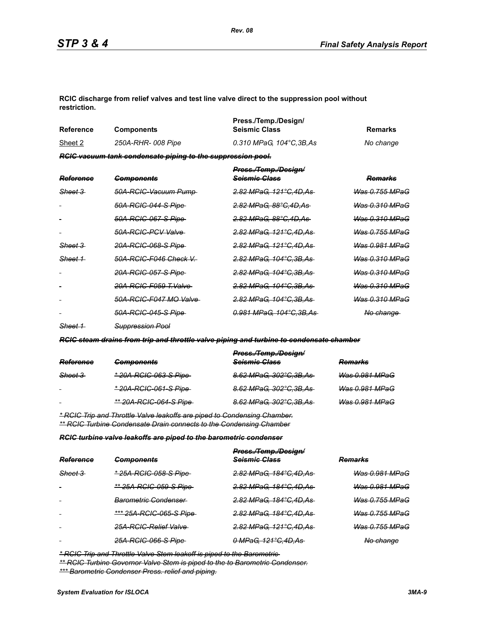**RCIC discharge from relief valves and test line valve direct to the suppression pool without restriction.**

| Reference | <b>Components</b>                                           | Press./Temp./Design/<br><b>Seismic Class</b> | Remarks   |
|-----------|-------------------------------------------------------------|----------------------------------------------|-----------|
| Sheet 2   | 250A-RHR- 008 Pipe                                          | 0.310 MPaG. 104°C.3B.As                      | No change |
|           | RCIC vacuum tank condensate piping to the suppression pool. |                                              |           |

| Reference          | <b>Components</b>              | Press./Temp./Design/<br><del>Seismic Class</del> | Remarks                   |
|--------------------|--------------------------------|--------------------------------------------------|---------------------------|
| <del>Sheet 3</del> | 50A-RCIC-Vacuum Pump-          | <del>2.82 MPaG. 121°C.4D.As-</del>               | Was 0.755 MPaG            |
|                    | 50A-RCIC-044-S Pipe            | <del>2.82 MPaG. 88°C.4D.As</del>                 | <del>Was 0.310 MPaG</del> |
|                    | 50A-RCIC-067-S Pipe            | <del>2.82 MPaG. 88°C.4D.As</del>                 | <del>Was 0.310 MPaG</del> |
|                    | 50A-RGIG-PGV Valve             | <del>2.82 MPaG. 121°C.4D.As</del>                | <del>Was 0.755 MPaG</del> |
| <del>Sheet 3</del> | <del>20A-RCIC-068-S Pipe</del> | <del>2.82 MPaG. 121°C.4D.As-</del>               | <del>Was 0.981 MPaG</del> |
| <del>Sheet 1</del> | 50A-RCIC-F046 Check V          | <del>2.82 MPaG. 104°C.3B.As-</del>               | <del>Was 0.310 MPaG</del> |
|                    | <u>20A-RCIC-057-S Pipe </u>    | <del>2.82 MPaG. 104°C.3B.As-</del>               | Was 0.310 MPaG            |
|                    | 20A-RCIC-F059 T.Valve          | <del>2.82 MPaG. 104°C.3B.As-</del>               | <del>Was 0.310 MPaG</del> |
|                    | 50A-RCIC-F047 MO Valve         | <del>2.82 MPaG. 104°C.3B.As</del>                | <del>Was 0.310 MPaG</del> |
|                    | <u>50A-RCIC-045-S Pipe-</u>    | <del>0.981 MPaG. 104°C.3B.As-</del>              | <del>No change</del>      |
|                    |                                |                                                  |                           |

*Sheet 1 Suppression Pool*

*RCIC steam drains from trip and throttle valve piping and turbine to condensate chamber*

|                    |                                | Press./Temp./Design/     |                |
|--------------------|--------------------------------|--------------------------|----------------|
| Reference          | <b>Components</b>              | Seismic Class            | <b>Remarks</b> |
| <del>Sheet 3</del> | <u>* 20A-RCIC-063-S Pipe</u>   | 8.62 MPaG, 302°C,3B,As   | Was 0.981 MPaG |
| $\sim$             | <u>* 20A-RCIC-061-S Pipe-</u>  | 8.62 MPaG, 302°C, 3B, As | Was 0.981 MPaG |
| $\blacksquare$     | <u>** 20A-RCIC-064-S Pipe-</u> | 8.62 MPaG, 302°C, 3B, As | Was 0.981 MPaG |
|                    |                                |                          |                |

*\* RCIC Trip and Throttle Valve leakoffs are piped to Condensing Chamber. \*\* RCIC Turbine Condensate Drain connects to the Condensing Chamber*

*RCIC turbine valve leakoffs are piped to the barometric condenser*

|                    |                                 | Press./Temp./Design/     |                           |
|--------------------|---------------------------------|--------------------------|---------------------------|
| Reference          | <b>Components</b>               | Seismic Class            | <b>Remarks</b>            |
| <del>Sheet 3</del> | * 25A-RCIC-058-S Pipe           | 2.82 MPaG, 184°C, 4D, As | <del>Was 0.981 MPaG</del> |
|                    | ** 25A-RCIC-059-S Pipe          | 2.82 MPaG, 184°C, 4D, As | Was 0.981 MPaG            |
| $\sim$             | <del>Barometric Condenser</del> | 2.82 MPaG, 184°C, 4D, As | <del>Was 0.755 MPaG</del> |
| $\sim$             | *** 25A-RCIC-065-S Pipe         | 2.82 MPaG, 184°C, 4D, As | <b>Was 0.755 MPaG</b>     |
| $\sim$             | 25A-RCIC-Relief Valve           | 2.82 MPaG, 121°C, 4D, As | <b>Was 0.755 MPaG</b>     |
|                    | 25A-RCIC-066-S Pipe-            | 0 MPaG, 121°C, 4D, As    | No change                 |

*\* RCIC Trip and Throttle Valve Stem leakoff is piped to the Barometric* 

*\*\* RCIC Turbine Governor Valve Stem is piped to the to Barometric Condenser. \*\*\* Barometric Condenser Press. relief and piping.*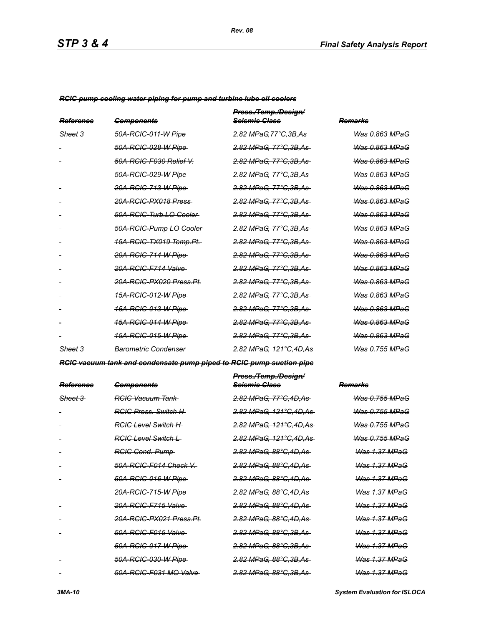*RCIC pump cooling water piping for pump and turbine lube oil coolers*

| Reference          | <b>Components</b>                   | Press./Temp./Design/<br><del>Scismic Class</del> | Remarks                   |
|--------------------|-------------------------------------|--------------------------------------------------|---------------------------|
| <del>Sheet 3</del> | 50A-RGIC-011-W Pipe                 | 2.82 MPaG.77°C.3B.As                             | Was 0.863 MPaG            |
|                    | 50A-RGIC-028-W Pipe                 | 2.82 MPaG, 77°C.3B.As                            | Was 0.863 MPaG            |
|                    | 50A-RCIC-F030 Relief V.             | <u>2.82 MPaG, 77°C,3B,As</u>                     | <del>Was 0.863 MPaG</del> |
|                    | 50A-RCIC-029-W Pipe                 | <u>2.82 MPaG, 77°C,3B,As</u>                     | <del>Was 0.863 MPaG</del> |
|                    | <del>20A-RCIC-713-W Pipe</del>      | <del>2.82 MPaG, 77°C.3B.As</del>                 | <b>Was 0.863 MPaG</b>     |
|                    | 20A-RCIC-PX018 Press                | 2.82 MPaG, 77°C, 3B, As                          | <b>Was 0.863 MPaG</b>     |
|                    | 50A-RCIC-Turb.LO Cooler             | <u>2.82 MPaG, 77°C,3B,As</u>                     | <del>Was 0.863 MPaG</del> |
|                    | 50A-RCIC-Pump LO-Cooler-            | <u>2.82 MPaG, 77°C,3B,As-</u>                    | <del>Was 0.863 MPaG</del> |
|                    | <del>15A-RCIC-TX019 Temp.Pt.</del>  | <del>2.82 MPaG. 77°C.3B.As</del>                 | <del>Was 0.863 MPaG</del> |
|                    | 20A-RCIC-714-W Pipe                 | <u>2.82 MPaG, 77°C,3B,As-</u>                    | <del>Was 0.863 MPaG</del> |
|                    | <del>20A-RCIC-F714 Valve</del>      | <u>2.82 MPaG, 77°C,3B,As</u>                     | <del>Was 0.863 MPaG</del> |
|                    | <del>20A-RCIC-PX020 Press.Pt.</del> | <u>2.82 MPaG, 77°C,3B,As</u>                     | <del>Was 0.863 MPaG</del> |
|                    | <u>15A-RCIC-012-W Pipe </u>         | <u>2.82 MPaG, 77°C,3B,As</u>                     | <del>Was 0.863 MPaG</del> |
|                    | <u>15A-RCIC-013-W Pipe </u>         | <u>2.82 MPaG, 77°C,3B,As</u>                     | <del>Was 0.863 MPaG</del> |
|                    | <u>15A-RCIC-014-W Pipe</u>          | <del>2.82 MPaG, 77°C.3B.As</del>                 | <del>Was 0.863 MPaG</del> |
|                    | <u>15A-RCIC-015-W Pipe </u>         | <del>2.82 MPaG, 77°C.3B.As</del>                 | <del>Was 0.863 MPaG</del> |
| Sheet 3            | Barometric Condenser                | <del>2.82 MPaG. 121°C.4D.As-</del>               | Was 0.755 MPaG            |

*RCIC vacuum tank and condensate pump piped to RCIC pump suction pipe*

| <del>Reference</del> | <del>Components</del>               | <del>Press./Temp./Design/</del><br><del>Seismic Class</del> | <del>Remarks</del>        |
|----------------------|-------------------------------------|-------------------------------------------------------------|---------------------------|
| <del>Sheet 3</del>   | <del>RCIC Vacuum Tank</del>         | <del>2.82 MPaG. 77°C.4D.As</del>                            | <u> Was 0.755 MPaG</u>    |
|                      | <b>RGIC Press. Switch H</b>         | <del>2.82 MPaG. 121°C.4D.As-</del>                          | <b>Was 0.755 MPaG</b>     |
|                      | RGIC Level Switch H                 | <del>2.82 MPaG. 121°C.4D.As-</del>                          | <u> Was 0.755 MPaG</u>    |
|                      | <b>RGIG Level Switch L</b>          | <del>2.82 MPaG, 121°C,4D,As-</del>                          | <del>Was 0.755 MPaG</del> |
|                      | <b>RGIG Cond. Pump</b>              | <del>2.82 MPaG. 88°C.4D.As-</del>                           | Was 1.37 MPaG             |
|                      | <del>50A-RCIC-F014 Check V.-</del>  | <del>2.82 MPaG. 88°C.4D.As-</del>                           | <b>Was 1.37 MPaG</b>      |
|                      | 50A-RCIC-016-W Pipe                 | <del>2.82 MPaG. 88°C.4D.As</del>                            | <b>Was 1.37 MPaG</b>      |
|                      | 20A-RCIC-715-W Pipe                 | <del>2.82 MPaG. 88°C.4D.As-</del>                           | <b>Was 1.37 MPaG</b>      |
|                      | 20A-RCIC-F715 Valve                 | <del>2.82 MPaG, 88°C,4D,As-</del>                           | <b>Was 1.37 MPaG</b>      |
|                      | <del>20A-RCIC-PX021 Press.Pt.</del> | <del>2.82 MPaG. 88°C.4D.As-</del>                           | Was 1.37 MPaG             |
|                      | 50A-RCIC-F015 Valve                 | <del>2.82 MPaG. 88°C.3B.As-</del>                           | Was 1.37 MPaG             |
|                      | 50A-RCIC-017-W Pipe                 | <del>2.82 MPaG. 88°C.3B.As-</del>                           | <del>Was 1.37 MPaG</del>  |
|                      | 50A-RCIC-030-W Pipe                 | <del>2.82 MPaG. 88°C.3B.As-</del>                           | <del>Was 1.37 MPaG</del>  |
|                      | 50A-RCIC-F031 MO Valve-             | <del>2.82 MPaG. 88°C.3B.As-</del>                           | <b>Was 1.37 MPaG</b>      |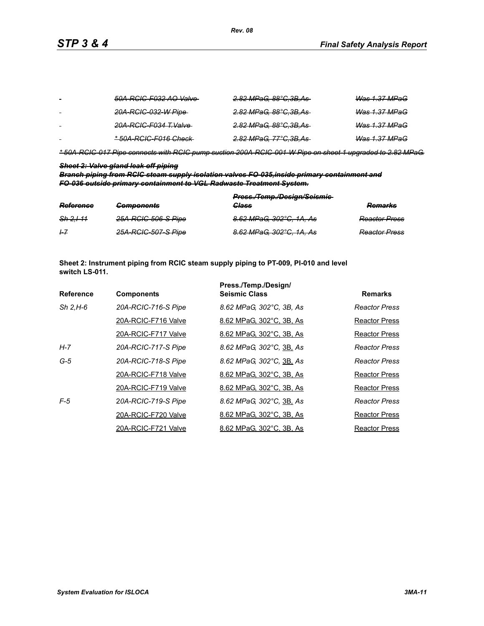| $\sim$ | 50A-RCIC-F032 AO Valve- | <del>2.82 MPaG, 88°C,3B,As-</del> | <del>Was 1.37 MPaG</del> |
|--------|-------------------------|-----------------------------------|--------------------------|
|        | 20A-RCIC-032-W Pipe-    | <del>2.82 MPaG, 88°C,3B,As</del>  | <del>Was 1.37 MPaG</del> |
|        | 20A-RCIC-F034 T.Valve   | <del>2.82 MPaG, 88°C,3B,As-</del> | <del>Was 1.37 MPaG</del> |
| $\sim$ | *50A-RCIC-F016 Check-   | <del>2.82 MPaG, 77°C.3B.As-</del> | Was 1.37 MPaG            |

*\* 50A-RCIC-017 Pipe connects with RCIC pump suction 200A-RCIC-001-W Pipe on sheet 1 upgraded to 2.82 MPaG.*

#### *Sheet 2: Valve gland leak off piping*

*Branch piping from RCIC steam supply isolation valves FO-035,inside primary containment and FO-036 outside primary containment to VGL Radwaste Treatment System.*

| Reference            | <b>Components</b>   | Press./Temp./Design/Seismie-<br><b>Class</b> | Domarke<br><del>numarno</del> |
|----------------------|---------------------|----------------------------------------------|-------------------------------|
| <del>Sh 2.1-11</del> | 25A-RCIC-506-S Pipe | 8.62 MPaG, 302°C, 1A, As                     | <b>Reactor Press</b>          |
| $+7$                 | 25A-RCIC-507-S Pipe | 8.62 MPaG, 302°C, 1A, As                     | <b>Reactor Press</b>          |

**Sheet 2: Instrument piping from RCIC steam supply piping to PT-009, PI-010 and level switch LS-011.**

|                  |                     | Press./Temp./Design/     |                      |
|------------------|---------------------|--------------------------|----------------------|
| <b>Reference</b> | <b>Components</b>   | <b>Seismic Class</b>     | <b>Remarks</b>       |
| $Sh$ 2.H-6       | 20A-RCIC-716-S Pipe | 8.62 MPaG, 302°C, 3B, As | Reactor Press        |
|                  | 20A-RCIC-F716 Valve | 8.62 MPaG, 302°C, 3B, As | Reactor Press        |
|                  | 20A-RCIC-F717 Valve | 8.62 MPaG, 302°C, 3B, As | Reactor Press        |
| H-7              | 20A-RCIC-717-S Pipe | 8.62 MPaG, 302°C, 3B, As | <b>Reactor Press</b> |
| $G-5$            | 20A-RCIC-718-S Pipe | 8.62 MPaG, 302°C, 3B, As | Reactor Press        |
|                  | 20A-RCIC-F718 Valve | 8.62 MPaG, 302°C, 3B, As | Reactor Press        |
|                  | 20A-RCIC-F719 Valve | 8.62 MPaG, 302°C, 3B, As | Reactor Press        |
| $F-5$            | 20A-RCIC-719-S Pipe | 8.62 MPaG, 302°C, 3B, As | <b>Reactor Press</b> |
|                  | 20A-RCIC-F720 Valve | 8.62 MPaG, 302°C, 3B, As | <b>Reactor Press</b> |
|                  | 20A-RCIC-F721 Valve | 8.62 MPaG, 302°C, 3B, As | <b>Reactor Press</b> |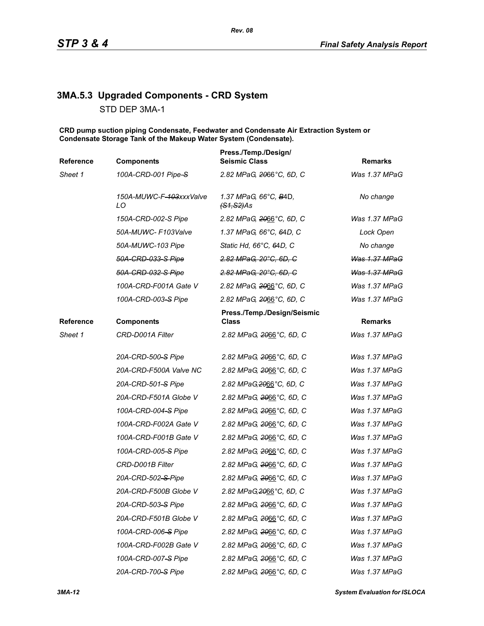# **3MA.5.3 Upgraded Components - CRD System**

STD DEP 3MA-1

**CRD pump suction piping Condensate, Feedwater and Condensate Air Extraction System or Condensate Storage Tank of the Makeup Water System (Condensate).**

| 100A-CRD-001 Pipe-S<br>150A-MUWC-F-403xxxValve<br>150A-CRD-002-S Pipe<br>50A-MUWC-F103Valve<br>50A-MUWC-103 Pipe<br>50A-CRD-033-S Pipe<br>50A-CRD-032-S Pipe | 2.82 MPaG, 2066°C, 6D, C<br>1.37 MPaG, 66°C, B4D,<br><del>(S1,S2)</del> As<br>2.82 MPaG, 2066°C, 6D, C<br>1.37 MPaG, 66°C, 64D, C<br>Static Hd, 66°C, 64D, C<br>2.82 MPaG, 20°C, 6D, C<br>2.82 MPaG, 20°C, 6D, C<br>2.82 MPaG, 2066°C, 6D, C                                                                                                                                                                                                                               | Was 1.37 MPaG<br>No change<br>Was 1.37 MPaG<br>Lock Open<br>No change<br>Was 1.37 MPaG<br><b>Was 1.37 MPaG</b> |
|--------------------------------------------------------------------------------------------------------------------------------------------------------------|----------------------------------------------------------------------------------------------------------------------------------------------------------------------------------------------------------------------------------------------------------------------------------------------------------------------------------------------------------------------------------------------------------------------------------------------------------------------------|----------------------------------------------------------------------------------------------------------------|
|                                                                                                                                                              |                                                                                                                                                                                                                                                                                                                                                                                                                                                                            |                                                                                                                |
|                                                                                                                                                              |                                                                                                                                                                                                                                                                                                                                                                                                                                                                            |                                                                                                                |
|                                                                                                                                                              |                                                                                                                                                                                                                                                                                                                                                                                                                                                                            |                                                                                                                |
|                                                                                                                                                              |                                                                                                                                                                                                                                                                                                                                                                                                                                                                            |                                                                                                                |
|                                                                                                                                                              |                                                                                                                                                                                                                                                                                                                                                                                                                                                                            |                                                                                                                |
|                                                                                                                                                              |                                                                                                                                                                                                                                                                                                                                                                                                                                                                            |                                                                                                                |
|                                                                                                                                                              |                                                                                                                                                                                                                                                                                                                                                                                                                                                                            |                                                                                                                |
|                                                                                                                                                              |                                                                                                                                                                                                                                                                                                                                                                                                                                                                            | Was 1.37 MPaG                                                                                                  |
|                                                                                                                                                              | 2.82 MPaG, 2066°C, 6D, C                                                                                                                                                                                                                                                                                                                                                                                                                                                   | Was 1.37 MPaG                                                                                                  |
|                                                                                                                                                              | Press./Temp./Design/Seismic<br>Class                                                                                                                                                                                                                                                                                                                                                                                                                                       | <b>Remarks</b>                                                                                                 |
|                                                                                                                                                              | 2.82 MPaG, 2066°C, 6D, C                                                                                                                                                                                                                                                                                                                                                                                                                                                   | Was 1.37 MPaG                                                                                                  |
|                                                                                                                                                              | 2.82 MPaG, 2066°C, 6D, C                                                                                                                                                                                                                                                                                                                                                                                                                                                   | Was 1.37 MPaG                                                                                                  |
|                                                                                                                                                              | 2.82 MPaG, 2066°C, 6D, C                                                                                                                                                                                                                                                                                                                                                                                                                                                   | Was 1.37 MPaG                                                                                                  |
|                                                                                                                                                              | 2.82 MPaG, 2066°C, 6D, C                                                                                                                                                                                                                                                                                                                                                                                                                                                   | Was 1.37 MPaG                                                                                                  |
|                                                                                                                                                              | 2.82 MPaG, 2066°C, 6D, C                                                                                                                                                                                                                                                                                                                                                                                                                                                   | Was 1.37 MPaG                                                                                                  |
|                                                                                                                                                              | 2.82 MPaG, 2066°C, 6D, C                                                                                                                                                                                                                                                                                                                                                                                                                                                   | Was 1.37 MPaG                                                                                                  |
|                                                                                                                                                              | 2.82 MPaG, 2066°C, 6D, C                                                                                                                                                                                                                                                                                                                                                                                                                                                   | Was 1.37 MPaG                                                                                                  |
|                                                                                                                                                              | 2.82 MPaG, 2066°C, 6D, C                                                                                                                                                                                                                                                                                                                                                                                                                                                   | Was 1.37 MPaG                                                                                                  |
|                                                                                                                                                              | 2.82 MPaG, 2066°C, 6D, C                                                                                                                                                                                                                                                                                                                                                                                                                                                   | Was 1.37 MPaG                                                                                                  |
|                                                                                                                                                              | 2.82 MPaG, 2066°C, 6D, C                                                                                                                                                                                                                                                                                                                                                                                                                                                   | Was 1.37 MPaG                                                                                                  |
|                                                                                                                                                              | 2.82 MPaG, 2066°C, 6D, C                                                                                                                                                                                                                                                                                                                                                                                                                                                   | Was 1.37 MPaG                                                                                                  |
|                                                                                                                                                              | 2.82 MPaG, 2066°C, 6D, C                                                                                                                                                                                                                                                                                                                                                                                                                                                   | Was 1.37 MPaG                                                                                                  |
|                                                                                                                                                              | 2.82 MPaG, 2066°C, 6D, C                                                                                                                                                                                                                                                                                                                                                                                                                                                   | Was 1.37 MPaG                                                                                                  |
|                                                                                                                                                              | 2.82 MPaG, 2066°C, 6D, C                                                                                                                                                                                                                                                                                                                                                                                                                                                   | Was 1.37 MPaG                                                                                                  |
|                                                                                                                                                              | 2.82 MPaG, 2066°C, 6D, C                                                                                                                                                                                                                                                                                                                                                                                                                                                   | Was 1.37 MPaG                                                                                                  |
|                                                                                                                                                              | 2.82 MPaG, 2066°C, 6D, C                                                                                                                                                                                                                                                                                                                                                                                                                                                   | Was 1.37 MPaG                                                                                                  |
|                                                                                                                                                              | 2.82 MPaG, 2066°C, 6D, C                                                                                                                                                                                                                                                                                                                                                                                                                                                   | Was 1.37 MPaG                                                                                                  |
|                                                                                                                                                              | 2.82 MPaG, 2066°C, 6D, C                                                                                                                                                                                                                                                                                                                                                                                                                                                   | Was 1.37 MPaG                                                                                                  |
|                                                                                                                                                              | 100A-CRD-003-S Pipe<br><b>Components</b><br>CRD-D001A Filter<br>20A-CRD-500-S Pipe<br>20A-CRD-F500A Valve NC<br>20A-CRD-501-S Pipe<br>20A-CRD-F501A Globe V<br>100A-CRD-004-S Pipe<br>100A-CRD-F002A Gate V<br>100A-CRD-F001B Gate V<br>100A-CRD-005-S Pipe<br>CRD-D001B Filter<br>20A-CRD-502-S-Pipe<br>20A-CRD-F500B Globe V<br>20A-CRD-503-S Pipe<br>20A-CRD-F501B Globe V<br>100A-CRD-006-S Pipe<br>100A-CRD-F002B Gate V<br>100A-CRD-007-S Pipe<br>20A-CRD-700-S Pipe | 100A-CRD-F001A Gate V                                                                                          |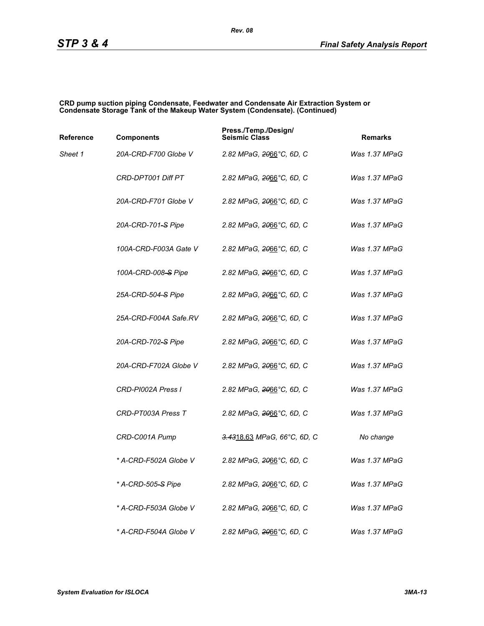#### **CRD pump suction piping Condensate, Feedwater and Condensate Air Extraction System or Condensate Storage Tank of the Makeup Water System (Condensate). (Continued)**

| Reference | <b>Components</b>              | Press./Temp./Design/<br><b>Seismic Class</b> | <b>Remarks</b> |
|-----------|--------------------------------|----------------------------------------------|----------------|
| Sheet 1   | 20A-CRD-F700 Globe V           | 2.82 MPaG, 2066°C, 6D, C                     | Was 1.37 MPaG  |
|           | CRD-DPT001 Diff PT             | 2.82 MPaG, <del>20</del> 66°C, 6D, C         | Was 1.37 MPaG  |
|           | 20A-CRD-F701 Globe V           | 2.82 MPaG, 2066°C, 6D, C                     | Was 1.37 MPaG  |
|           | 20A-CRD-701-S Pipe             | 2.82 MPaG, 2066°C, 6D, C                     | Was 1.37 MPaG  |
|           | 100A-CRD-F003A Gate V          | 2.82 MPaG, 2066°C, 6D, C                     | Was 1.37 MPaG  |
|           | 100A-CRD-008–S Pipe            | 2.82 MPaG, 2066°C, 6D, C                     | Was 1.37 MPaG  |
|           | 25A-CRD-504-S Pipe             | 2.82 MPaG, 2066°C, 6D, C                     | Was 1.37 MPaG  |
|           | 25A-CRD-F004A Safe.RV          | 2.82 MPaG, 2066°C, 6D, C                     | Was 1.37 MPaG  |
|           | 20A-CRD-702-S Pipe             | 2.82 MPaG, 2066°C, 6D, C                     | Was 1.37 MPaG  |
|           | 20A-CRD-F702A Globe V          | 2.82 MPaG, 2066°C, 6D, C                     | Was 1.37 MPaG  |
|           | CRD-PI002A Press I             | 2.82 MPaG, 2066°C, 6D, C                     | Was 1.37 MPaG  |
|           | CRD-PT003A Press T             | 2.82 MPaG, 2066°C, 6D, C                     | Was 1.37 MPaG  |
|           | CRD-C001A Pump                 | 3.4318.63 MPaG, 66°C, 6D, C                  | No change      |
|           | * A-CRD-F502A Globe V          | 2.82 MPaG, <del>20</del> 66°C, 6D, C         | Was 1.37 MPaG  |
|           | * A-CRD-505 <del>-S</del> Pipe | 2.82 MPaG, 2066°C, 6D, C                     | Was 1.37 MPaG  |
|           | * A-CRD-F503A Globe V          | 2.82 MPaG, 2066°C, 6D, C                     | Was 1.37 MPaG  |
|           | * A-CRD-F504A Globe V          | 2.82 MPaG, 2066°C, 6D, C                     | Was 1.37 MPaG  |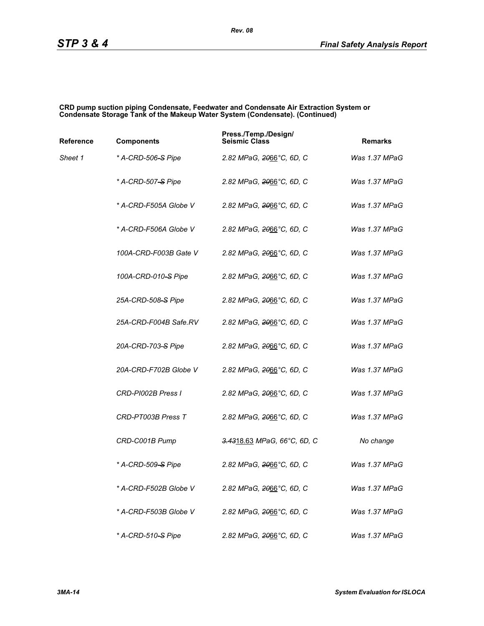#### **CRD pump suction piping Condensate, Feedwater and Condensate Air Extraction System or Condensate Storage Tank of the Makeup Water System (Condensate). (Continued)**

| Reference | <b>Components</b>              | Press./Temp./Design/<br><b>Seismic Class</b> | <b>Remarks</b> |
|-----------|--------------------------------|----------------------------------------------|----------------|
| Sheet 1   | * A-CRD-506-S Pipe             | 2.82 MPaG, <del>20</del> 66°C, 6D, C         | Was 1.37 MPaG  |
|           | * A-CRD-507 <del>-S</del> Pipe | 2.82 MPaG, 2066°C, 6D, C                     | Was 1.37 MPaG  |
|           | * A-CRD-F505A Globe V          | 2.82 MPaG, 2066°C, 6D, C                     | Was 1.37 MPaG  |
|           | * A-CRD-F506A Globe V          | 2.82 MPaG, 2066°C, 6D, C                     | Was 1.37 MPaG  |
|           | 100A-CRD-F003B Gate V          | 2.82 MPaG, 2066°C, 6D, C                     | Was 1.37 MPaG  |
|           | 100A-CRD-010-S Pipe            | 2.82 MPaG, <del>20</del> 66°C, 6D, C         | Was 1.37 MPaG  |
|           | 25A-CRD-508–S Pipe             | 2.82 MPaG, 2066°C, 6D, C                     | Was 1.37 MPaG  |
|           | 25A-CRD-F004B Safe.RV          | 2.82 MPaG, 2066°C, 6D, C                     | Was 1.37 MPaG  |
|           | 20A-CRD-703-S Pipe             | 2.82 MPaG, <del>20</del> 66°C, 6D, C         | Was 1.37 MPaG  |
|           | 20A-CRD-F702B Globe V          | 2.82 MPaG, <del>20</del> 66°C, 6D, C         | Was 1.37 MPaG  |
|           | CRD-PI002B Press I             | 2.82 MPaG, 2066°C, 6D, C                     | Was 1.37 MPaG  |
|           | CRD-PT003B Press T             | 2.82 MPaG, 2066°C, 6D, C                     | Was 1.37 MPaG  |
|           | CRD-C001B Pump                 | 3.4318.63 MPaG, 66°C, 6D, C                  | No change      |
|           | * A-CRD-509-S Pipe             | 2.82 MPaG, 2066°C, 6D, C                     | Was 1.37 MPaG  |
|           | * A-CRD-F502B Globe V          | 2.82 MPaG, 2066°C, 6D, C                     | Was 1.37 MPaG  |
|           | * A-CRD-F503B Globe V          | 2.82 MPaG, 2066°C, 6D, C                     | Was 1.37 MPaG  |
|           | * A-CRD-510 <del>-S</del> Pipe | 2.82 MPaG, 2066°C, 6D, C                     | Was 1.37 MPaG  |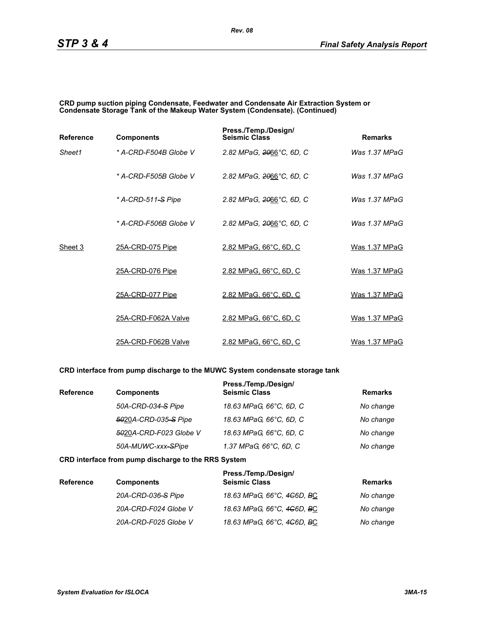#### **CRD pump suction piping Condensate, Feedwater and Condensate Air Extraction System or Condensate Storage Tank of the Makeup Water System (Condensate). (Continued)**

| <b>Reference</b> | <b>Components</b>     | Press./Temp./Design/<br><b>Seismic Class</b> | <b>Remarks</b>  |
|------------------|-----------------------|----------------------------------------------|-----------------|
| Sheet1           | * A-CRD-F504B Globe V | 2.82 MPaG, 2066°C, 6D, C                     | Was 1.37 MPaG   |
|                  | * A-CRD-F505B Globe V | 2.82 MPaG, 2066°C, 6D, C                     | Was 1.37 MPaG   |
|                  | * A-CRD-511-S Pipe    | 2.82 MPaG, 2066°C, 6D, C                     | Was $1.37$ MPaG |
|                  | * A-CRD-F506B Globe V | 2.82 MPaG, 2066°C, 6D, C                     | Was 1.37 MPaG   |
| Sheet 3          | 25A-CRD-075 Pipe      | 2.82 MPaG, 66°C, 6D, C                       | Was 1.37 MPaG   |
|                  | 25A-CRD-076 Pipe      | 2.82 MPaG, 66°C, 6D, C                       | Was 1.37 MPaG   |
|                  | 25A-CRD-077 Pipe      | 2.82 MPaG, 66°C, 6D, C                       | Was 1.37 MPaG   |
|                  | 25A-CRD-F062A Valve   | 2.82 MPaG, 66°C, 6D, C                       | Was 1.37 MPaG   |
|                  | 25A-CRD-F062B Valve   | 2.82 MPaG, 66°C, 6D, C                       | Was 1.37 MPaG   |

#### **CRD interface from pump discharge to the MUWC System condensate storage tank**

| <b>Reference</b> | <b>Components</b>      | Press./Temp./Design/<br><b>Seismic Class</b> | <b>Remarks</b> |
|------------------|------------------------|----------------------------------------------|----------------|
|                  | 50A-CRD-034-S Pipe     | 18.63 MPaG, 66°C, 6D, C                      | No change      |
|                  | 5020A-CRD-035-S Pipe   | 18.63 MPaG, 66°C, 6D, C                      | No change      |
|                  | 5020A-CRD-F023 Globe V | 18.63 MPaG, 66°C, 6D, C                      | No change      |
|                  | 50A-MUWC-xxx-SPipe     | 1.37 MPaG, 66°C, 6D, C                       | No change      |

#### **CRD interface from pump discharge to the RRS System**

| <b>Reference</b> | <b>Components</b>    | Press./Temp./Design/<br><b>Seismic Class</b> | <b>Remarks</b> |
|------------------|----------------------|----------------------------------------------|----------------|
|                  | 20A-CRD-036-S Pipe   | 18.63 MPaG, 66°C, 4 <del>C</del> 6D, BC      | No change      |
|                  | 20A-CRD-F024 Globe V | 18.63 MPaG, 66°C, 4 <del>C</del> 6D, BC      | No change      |
|                  | 20A-CRD-F025 Globe V | 18.63 MPaG, 66°C, 4 <del>C</del> 6D, BC      | No change      |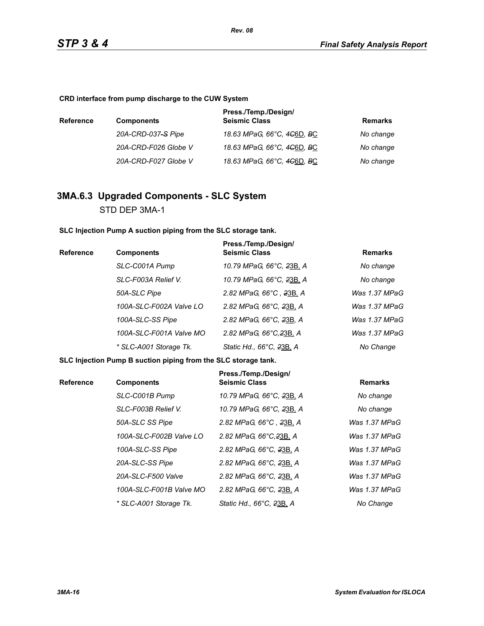**CRD interface from pump discharge to the CUW System**

| <b>Reference</b> | <b>Components</b>    | Press./Temp./Design/<br><b>Seismic Class</b>        | Remarks   |
|------------------|----------------------|-----------------------------------------------------|-----------|
|                  | 20A-CRD-037-S Pipe   | 18.63 MPaG, 66°C, 4 <del>C</del> 6D, <del>B</del> C | No change |
|                  | 20A-CRD-F026 Globe V | 18.63 MPaG, 66°C, 4 <del>C</del> 6D, <del>B</del> C | No change |
|                  | 20A-CRD-F027 Globe V | 18.63 MPaG, 66°C, 4 <del>C</del> 6D, <del>B</del> C | No change |

## **3MA.6.3 Upgraded Components - SLC System** STD DEP 3MA-1

**SLC Injection Pump A suction piping from the SLC storage tank.**

| Reference | <b>Components</b>       | Press./Temp./Design/<br><b>Seismic Class</b> | <b>Remarks</b> |
|-----------|-------------------------|----------------------------------------------|----------------|
|           | SLC-C001A Pump          | 10.79 MPaG, 66°C, 23B, A                     | No change      |
|           | SLC-F003A Relief V.     | 10.79 MPaG, 66°C, 23B, A                     | No change      |
|           | 50A-SLC Pipe            | 2.82 MPaG, 66°C, 23B, A                      | Was 1.37 MPaG  |
|           | 100A-SLC-F002A Valve LO | 2.82 MPaG, 66°C, 23B, A                      | Was 1.37 MPaG  |
|           | 100A-SLC-SS Pipe        | 2.82 MPaG, 66°C, 23B, A                      | Was 1.37 MPaG  |
|           | 100A-SLC-F001A Valve MO | 2.82 MPaG, 66°C, 23B, A                      | Was 1.37 MPaG  |
|           | * SLC-A001 Storage Tk.  | Static Hd., 66°C, 23B, A                     | No Change      |

**SLC Injection Pump B suction piping from the SLC storage tank.**

| <b>Reference</b> | <b>Components</b>       | Press./Temp./Design/<br><b>Seismic Class</b> | <b>Remarks</b>  |
|------------------|-------------------------|----------------------------------------------|-----------------|
|                  | SLC-C001B Pump          | 10.79 MPaG, 66°C, 23B, A                     | No change       |
|                  | SLC-F003B Relief V.     | 10.79 MPaG, 66°C, 23B, A                     | No change       |
|                  | 50A-SLC SS Pipe         | 2.82 MPaG, 66°C, 23B, A                      | Was 1.37 MPaG   |
|                  | 100A-SLC-F002B Valve LO | 2.82 MPaG, 66°C, 23B, A                      | Was $1.37$ MPaG |
|                  | 100A-SLC-SS Pipe        | 2.82 MPaG, 66°C, 23B, A                      | Was $1.37$ MPaG |
|                  | 20A-SLC-SS Pipe         | 2.82 MPaG, 66°C, 23B, A                      | Was $1.37$ MPaG |
|                  | 20A-SLC-F500 Valve      | 2.82 MPaG, 66°C, 23B, A                      | Was $1.37$ MPaG |
|                  | 100A-SLC-F001B Valve MO | 2.82 MPaG, 66°C, 23B, A                      | Was $1.37$ MPaG |
|                  | * SLC-A001 Storage Tk.  | Static Hd., 66°C, 23B, A                     | No Change       |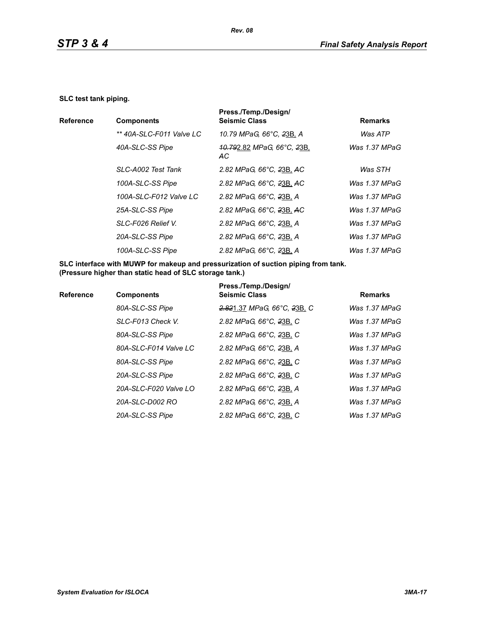#### **SLC test tank piping.**

|                          | Press./Temp./Design/                                      |                |
|--------------------------|-----------------------------------------------------------|----------------|
| <b>Components</b>        | <b>Seismic Class</b>                                      | <b>Remarks</b> |
| ** 40A-SLC-F011 Valve LC | 10.79 MPaG, 66°C, 23B, A                                  | Was ATP        |
| 40A-SLC-SS Pipe          | <del>10.79</del> 2.82 MPaG, 66°C, <del>2</del> 3B,<br>AC. | Was 1.37 MPaG  |
| SLC-A002 Test Tank       | 2.82 MPaG, 66°C, 23B, AC                                  | Was STH        |
| 100A-SLC-SS Pipe         | 2.82 MPaG, 66°C, 23B, AC                                  | Was 1.37 MPaG  |
| 100A-SLC-F012 Valve LC   | 2.82 MPaG, 66°C, 23B, A                                   | Was 1.37 MPaG  |
| 25A-SLC-SS Pipe          | 2.82 MPaG, 66°C, 23B, AC                                  | Was 1.37 MPaG  |
| SLC-F026 Relief V.       | 2.82 MPaG, 66°C, 23B, A                                   | Was 1.37 MPaG  |
| 20A-SLC-SS Pipe          | 2.82 MPaG, 66°C, 23B, A                                   | Was 1.37 MPaG  |
| 100A-SLC-SS Pipe         | 2.82 MPaG, 66°C, 23B, A                                   | Was 1.37 MPaG  |
|                          |                                                           |                |

**SLC interface with MUWP for makeup and pressurization of suction piping from tank. (Pressure higher than static head of SLC storage tank.)**

|                  |                       | Press./Temp./Design/        |                |
|------------------|-----------------------|-----------------------------|----------------|
| <b>Reference</b> | <b>Components</b>     | <b>Seismic Class</b>        | <b>Remarks</b> |
|                  | 80A-SLC-SS Pipe       | 2.821.37 MPaG, 66°C, 23B, C | Was 1.37 MPaG  |
|                  | SLC-F013 Check V.     | 2.82 MPaG, 66°C, 23B, C     | Was 1.37 MPaG  |
|                  | 80A-SLC-SS Pipe       | 2.82 MPaG, 66°C, 23B, C     | Was 1.37 MPaG  |
|                  | 80A-SLC-F014 Valve LC | 2.82 MPaG, 66°C, 23B, A     | Was 1.37 MPaG  |
|                  | 80A-SLC-SS Pipe       | 2.82 MPaG, 66°C, 23B, C     | Was 1.37 MPaG  |
|                  | 20A-SLC-SS Pipe       | 2.82 MPaG, 66°C, 23B, C     | Was 1.37 MPaG  |
|                  | 20A-SLC-F020 Valve LO | 2.82 MPaG, 66°C, 23B, A     | Was 1.37 MPaG  |
|                  | 20A-SLC-D002 RO       | 2.82 MPaG, 66°C, 23B, A     | Was 1.37 MPaG  |
|                  | 20A-SLC-SS Pipe       | 2.82 MPaG, 66°C, 23B, C     | Was 1.37 MPaG  |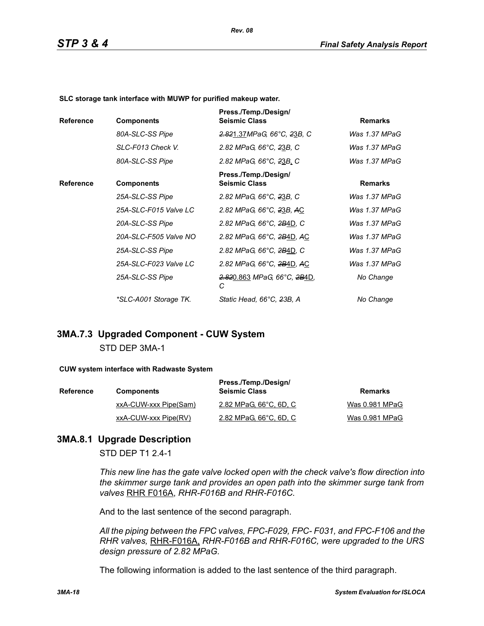**SLC storage tank interface with MUWP for purified makeup water.**

| <b>Reference</b> | <b>Components</b>     | Press./Temp./Design/<br><b>Seismic Class</b> | <b>Remarks</b> |
|------------------|-----------------------|----------------------------------------------|----------------|
|                  | 80A-SLC-SS Pipe       | 2.821.37MPaG, 66°C, 23B, C                   | Was 1.37 MPaG  |
|                  | SLC-F013 Check V.     | 2.82 MPaG, 66°C, 23B, C                      | Was 1.37 MPaG  |
|                  | 80A-SLC-SS Pipe       | 2.82 MPaG, 66°C, 23B, C                      | Was 1.37 MPaG  |
| <b>Reference</b> | <b>Components</b>     | Press./Temp./Design/<br><b>Seismic Class</b> | <b>Remarks</b> |
|                  | 25A-SLC-SS Pipe       | 2.82 MPaG, 66°C, 23B, C                      | Was 1.37 MPaG  |
|                  | 25A-SLC-F015 Valve LC | 2.82 MPaG, 66°C, 23B, AC                     | Was 1.37 MPaG  |
|                  | 20A-SLC-SS Pipe       | 2.82 MPaG, 66°C, 2B4D, C                     | Was 1.37 MPaG  |
|                  | 20A-SLC-F505 Valve NO | 2.82 MPaG, 66°C, 2B4D, AC                    | Was 1.37 MPaG  |
|                  | 25A-SLC-SS Pipe       | 2.82 MPaG, 66°C, 2B4D, C                     | Was 1.37 MPaG  |
|                  | 25A-SLC-F023 Valve LC | 2.82 MPaG, 66°C, 2B4D, AC                    | Was 1.37 MPaG  |
|                  | 25A-SLC-SS Pipe       | <del>2.82</del> 0.863 MPaG, 66°C, 2B4D,<br>С | No Change      |
|                  | *SLC-A001 Storage TK. | Static Head, 66°C, 23B, A                    | No Change      |

*Rev. 08*

### **3MA.7.3 Upgraded Component - CUW System** STD DEP 3MA-1

#### **CUW system interface with Radwaste System**

| <b>Reference</b> | <b>Components</b>     | Press./Temp./Design/<br><b>Seismic Class</b> | Remarks        |
|------------------|-----------------------|----------------------------------------------|----------------|
|                  | xxA-CUW-xxx Pipe(Sam) | 2.82 MPaG, 66°C, 6D, C                       | Was 0.981 MPaG |
|                  | xxA-CUW-xxx Pipe(RV)  | 2.82 MPaG, 66°C, 6D, C                       | Was 0.981 MPaG |

### **3MA.8.1 Upgrade Description**

STD DEP T1 2.4-1

*This new line has the gate valve locked open with the check valve's flow direction into the skimmer surge tank and provides an open path into the skimmer surge tank from valves* RHR F016A, *RHR-F016B and RHR-F016C.*

And to the last sentence of the second paragraph.

*All the piping between the FPC valves, FPC-F029, FPC- F031, and FPC-F106 and the RHR valves,* RHR-F016A, *RHR-F016B and RHR-F016C, were upgraded to the URS design pressure of 2.82 MPaG.*

The following information is added to the last sentence of the third paragraph.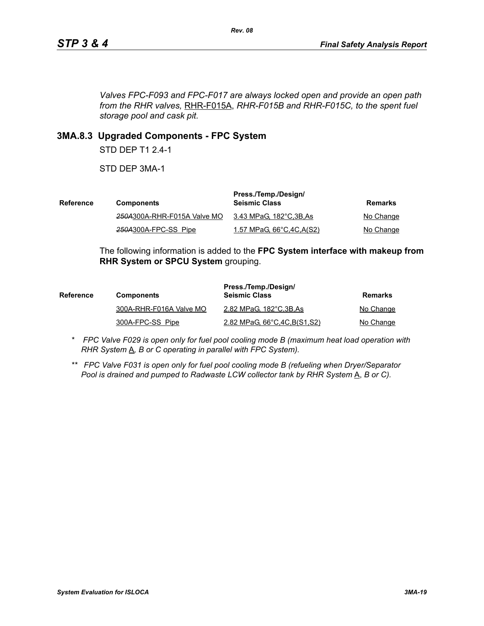*Valves FPC-F093 and FPC-F017 are always locked open and provide an open path from the RHR valves,* RHR-F015A, *RHR-F015B and RHR-F015C, to the spent fuel storage pool and cask pit.*

### **3MA.8.3 Upgraded Components - FPC System**

STD DEP T1 2.4-1

STD DEP 3MA-1

| Reference | <b>Components</b>           | Press./Temp./Design/<br><b>Seismic Class</b> | Remarks   |
|-----------|-----------------------------|----------------------------------------------|-----------|
|           | 250A300A-RHR-F015A Valve MO | 3.43 MPaG, 182°C,3B,As                       | No Change |
|           | 250A300A-FPC-SS Pipe        | 1.57 MPaG, 66°C, 4C, A(S2)                   | No Change |

The following information is added to the **FPC System interface with makeup from RHR System or SPCU System** grouping.

| <b>Reference</b> | <b>Components</b>       | Press./Temp./Design/<br><b>Seismic Class</b> | Remarks   |
|------------------|-------------------------|----------------------------------------------|-----------|
|                  | 300A-RHR-F016A Valve MO | 2.82 MPaG, 182°C, 3B, As                     | No Change |
|                  | 300A-FPC-SS Pipe        | 2.82 MPaG, 66°C, 4C, B(S1, S2)               | No Change |

- *\* FPC Valve F029 is open only for fuel pool cooling mode B (maximum heat load operation with RHR System*  $\underline{A}$ *, B or C operating in parallel with FPC System).*
- *\*\* FPC Valve F031 is open only for fuel pool cooling mode B (refueling when Dryer/Separator Pool is drained and pumped to Radwaste LCW collector tank by RHR System* A, *B or C).*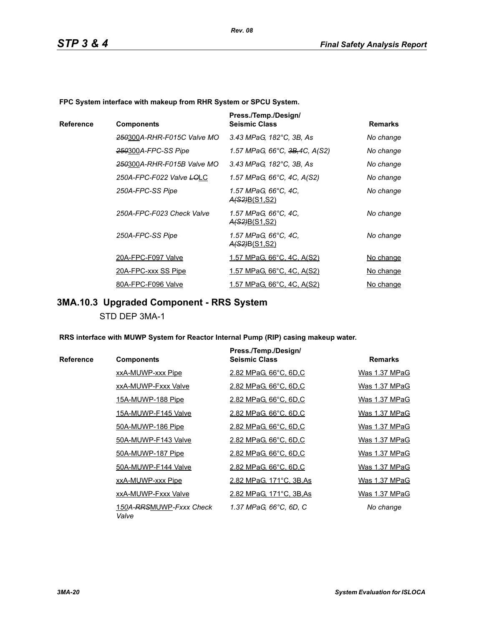**FPC System interface with makeup from RHR System or SPCU System.**

|           |                            | Press./Temp./Design/                         |                |
|-----------|----------------------------|----------------------------------------------|----------------|
| Reference | <b>Components</b>          | <b>Seismic Class</b>                         | <b>Remarks</b> |
|           | 250300A-RHR-F015C Valve MO | 3.43 MPaG, 182°C, 3B, As                     | No change      |
|           | 250300A-FPC-SS Pipe        | 1.57 MPaG, 66°C, <del>3B,</del> 4C, A(S2)    | No change      |
|           | 250300A-RHR-F015B Valve MO | 3.43 MPaG, 182°C, 3B, As                     | No change      |
|           | 250A-FPC-F022 Valve LOLC   | 1.57 MPaG, 66°C, 4C, A(S2)                   | No change      |
|           | 250A-FPC-SS Pipe           | 1.57 MPaG, 66°C, 4C,<br><u>A(S2)B(S1,S2)</u> | No change      |
|           | 250A-FPC-F023 Check Valve  | 1.57 MPaG, 66°C, 4C,<br><u>A(S2)B(S1,S2)</u> | No change      |
|           | 250A-FPC-SS Pipe           | 1.57 MPaG, 66°C, 4C,<br><u>A(S2)B(S1,S2)</u> | No change      |
|           | 20A-FPC-F097 Valve         | <u>1.57 MPaG, 66°C, 4C, A(S2)</u>            | No change      |
|           | 20A-FPC-xxx SS Pipe        | <u>1.57 MPaG, 66°C, 4C, A(S2)</u>            | No change      |
|           | 80A-FPC-F096 Valve         | <u>1.57 MPaG, 66°C, 4C, A(S2)</u>            | No change      |

# **3MA.10.3 Upgraded Component - RRS System**

STD DEP 3MA-1

**RRS interface with MUWP System for Reactor Internal Pump (RIP) casing makeup water.**

|           |                                  | Press./Temp./Design/     |                |
|-----------|----------------------------------|--------------------------|----------------|
| Reference | <b>Components</b>                | <b>Seismic Class</b>     | <b>Remarks</b> |
|           | xxA-MUWP-xxx Pipe                | 2.82 MPaG, 66°C, 6D,C    | Was 1.37 MPaG  |
|           | xxA-MUWP-Fxxx Valve              | 2.82 MPaG, 66°C, 6D,C    | Was 1.37 MPaG  |
|           | 15A-MUWP-188 Pipe                | 2.82 MPaG, 66°C, 6D,C    | Was 1.37 MPaG  |
|           | 15A-MUWP-F145 Valve              | 2.82 MPaG, 66°C, 6D,C    | Was 1.37 MPaG  |
|           | 50A-MUWP-186 Pipe                | 2.82 MPaG, 66°C, 6D,C    | Was 1.37 MPaG  |
|           | 50A-MUWP-F143 Valve              | 2.82 MPaG, 66°C, 6D,C    | Was 1.37 MPaG  |
|           | 50A-MUWP-187 Pipe                | 2.82 MPaG, 66°C, 6D,C    | Was 1.37 MPaG  |
|           | 50A-MUWP-F144 Valve              | 2.82 MPaG, 66°C, 6D,C    | Was 1.37 MPaG  |
|           | xxA-MUWP-xxx Pipe                | 2.82 MPaG, 171°C, 3B, As | Was 1.37 MPaG  |
|           | xxA-MUWP-Fxxx Valve              | 2.82 MPaG, 171°C, 3B, As | Was 1.37 MPaG  |
|           | 150A-RRSMUWP-Fxxx Check<br>Valve | 1.37 MPaG, 66°C, 6D, C   | No change      |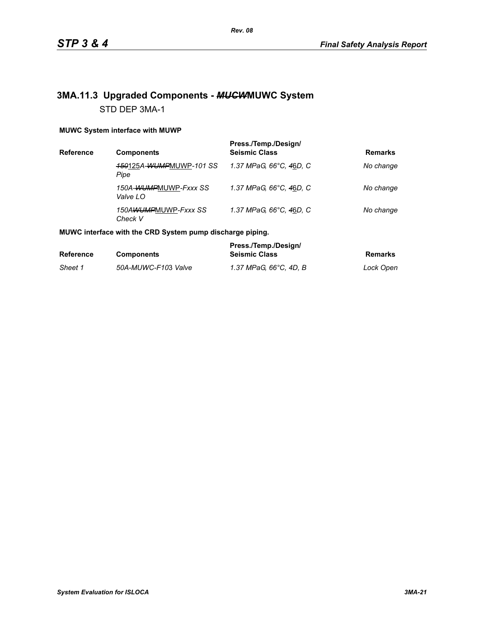## **3MA.11.3 Upgraded Components -** *MUCW***MUWC System** STD DEP 3MA-1

#### **MUWC System interface with MUWP**

| <b>Reference</b> | <b>Components</b>                      | Press./Temp./Design/<br><b>Seismic Class</b> | <b>Remarks</b> |
|------------------|----------------------------------------|----------------------------------------------|----------------|
|                  | <b>450125A-WUMPMUWP-101 SS</b><br>Pipe | 1.37 MPaG, 66°C, 46D, C                      | No change      |
|                  | 150A-WUMPMUWP-Fxxx SS<br>Valve LO      | 1.37 MPaG, 66°C, 46D, C                      | No change      |
|                  | 150AWUMPMUWP-Fxxx SS<br>Check V        | 1.37 MPaG, 66°C, 46D, C                      | No change      |

#### **MUWC interface with the CRD System pump discharge piping.**

|                  |                     | Press./Temp./Design/   |           |
|------------------|---------------------|------------------------|-----------|
| <b>Reference</b> | <b>Components</b>   | <b>Seismic Class</b>   | Remarks   |
| Sheet 1          | 50A-MUWC-F103 Valve | 1.37 MPaG. 66°C. 4D. B | Lock Open |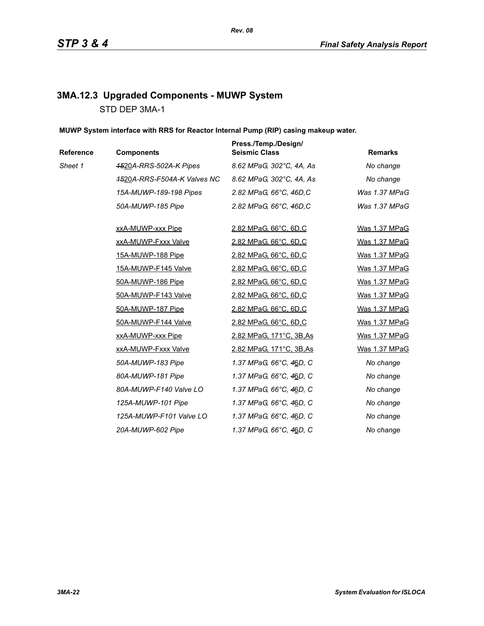# **3MA.12.3 Upgraded Components - MUWP System** STD DEP 3MA-1

### **MUWP System interface with RRS for Reactor Internal Pump (RIP) casing makeup water.**

| Reference | <b>Components</b>           | Press./Temp./Design/<br><b>Seismic Class</b> | <b>Remarks</b> |
|-----------|-----------------------------|----------------------------------------------|----------------|
| Sheet 1   | 4520A-RRS-502A-K Pipes      | 8.62 MPaG, 302°C, 4A, As                     | No change      |
|           | 4520A-RRS-F504A-K Valves NC | 8.62 MPaG, 302°C, 4A, As                     | No change      |
|           | 15A-MUWP-189-198 Pipes      | 2.82 MPaG, 66°C, 46D,C                       | Was 1.37 MPaG  |
|           | 50A-MUWP-185 Pipe           | 2.82 MPaG, 66°C, 46D,C                       | Was 1.37 MPaG  |
|           | xxA-MUWP-xxx Pipe           | 2.82 MPaG, 66°C, 6D,C                        | Was 1.37 MPaG  |
|           | xxA-MUWP-Fxxx Valve         | 2.82 MPaG, 66°C, 6D,C                        | Was 1.37 MPaG  |
|           | <u>15A-MUWP-188 Pipe</u>    | 2.82 MPaG, 66°C, 6D,C                        | Was 1.37 MPaG  |
|           | 15A-MUWP-F145 Valve         | 2.82 MPaG, 66°C, 6D,C                        | Was 1.37 MPaG  |
|           | 50A-MUWP-186 Pipe           | 2.82 MPaG, 66°C, 6D,C                        | Was 1.37 MPaG  |
|           | 50A-MUWP-F143 Valve         | 2.82 MPaG, 66°C, 6D,C                        | Was 1.37 MPaG  |
|           | 50A-MUWP-187 Pipe           | 2.82 MPaG, 66°C, 6D,C                        | Was 1.37 MPaG  |
|           | 50A-MUWP-F144 Valve         | 2.82 MPaG, 66°C, 6D,C                        | Was 1.37 MPaG  |
|           | xxA-MUWP-xxx Pipe           | 2.82 MPaG, 171°C, 3B, As                     | Was 1.37 MPaG  |
|           | xxA-MUWP-Fxxx Valve         | 2.82 MPaG, 171°C, 3B, As                     | Was 1.37 MPaG  |
|           | 50A-MUWP-183 Pipe           | 1.37 MPaG, 66°C, 46D, C                      | No change      |
|           | 80A-MUWP-181 Pipe           | 1.37 MPaG, 66°C, 46D, C                      | No change      |
|           | 80A-MUWP-F140 Valve LO      | 1.37 MPaG, 66°C, 46D, C                      | No change      |
|           | 125A-MUWP-101 Pipe          | 1.37 MPaG, 66°C, 46D, C                      | No change      |
|           | 125A-MUWP-F101 Valve LO     | 1.37 MPaG, 66°C, 46D, C                      | No change      |
|           | 20A-MUWP-602 Pipe           | 1.37 MPaG, 66°C, 4 <u>6</u> D, C             | No change      |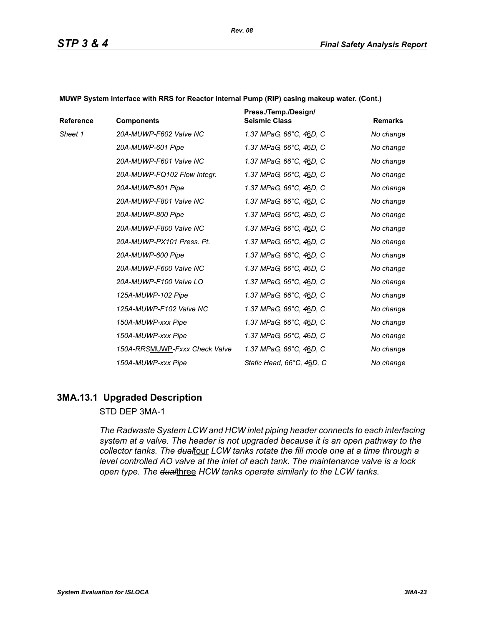| Reference | <b>Components</b>             | Press./Temp./Design/<br><b>Seismic Class</b> | <b>Remarks</b> |
|-----------|-------------------------------|----------------------------------------------|----------------|
| Sheet 1   | 20A-MUWP-F602 Valve NC        | 1.37 MPaG, 66°C, 46D, C                      | No change      |
|           | 20A-MUWP-601 Pipe             | 1.37 MPaG, 66°C, 46D, C                      | No change      |
|           | 20A-MUWP-F601 Valve NC        | 1.37 MPaG, 66°C, 46D, C                      | No change      |
|           | 20A-MUWP-FQ102 Flow Integr.   | 1.37 MPaG, 66°C, 46D, C                      | No change      |
|           | 20A-MUWP-801 Pipe             | 1.37 MPaG, 66°C, 46D, C                      | No change      |
|           | 20A-MUWP-F801 Valve NC        | 1.37 MPaG, 66°C, 46D, C                      | No change      |
|           | 20A-MUWP-800 Pipe             | 1.37 MPaG, 66°C, 46D, C                      | No change      |
|           | 20A-MUWP-F800 Valve NC        | 1.37 MPaG, 66°C, 46D, C                      | No change      |
|           | 20A-MUWP-PX101 Press, Pt.     | 1.37 MPaG, 66°C, 46D, C                      | No change      |
|           | 20A-MUWP-600 Pipe             | 1.37 MPaG, 66°C, 46D, C                      | No change      |
|           | 20A-MUWP-F600 Valve NC        | 1.37 MPaG, 66°C, 46D, C                      | No change      |
|           | 20A-MUWP-F100 Valve LO        | 1.37 MPaG, 66°C, 46D, C                      | No change      |
|           | 125A-MUWP-102 Pipe            | 1.37 MPaG, 66°C, 46D, C                      | No change      |
|           | 125A-MUWP-F102 Valve NC       | 1.37 MPaG, 66°C, 46D, C                      | No change      |
|           | 150A-MUWP-xxx Pipe            | 1.37 MPaG, 66°C, 46D, C                      | No change      |
|           | 150A-MUWP-xxx Pipe            | 1.37 MPaG, 66°C, 46D, C                      | No change      |
|           | 150A-RRSMUWP-Fxxx Check Valve | 1.37 MPaG, 66°C, 46D, C                      | No change      |
|           | 150A-MUWP-xxx Pipe            | Static Head, 66°C, 46D, C                    | No change      |

**MUWP System interface with RRS for Reactor Internal Pump (RIP) casing makeup water. (Cont.)**

### **3MA.13.1 Upgraded Description**

### STD DEP 3MA-1

*The Radwaste System LCW and HCW inlet piping header connects to each interfacing system at a valve. The header is not upgraded because it is an open pathway to the*  collector tanks. The dualfour LCW tanks rotate the fill mode one at a time through a *level controlled AO valve at the inlet of each tank. The maintenance valve is a lock open type. The dual*three *HCW tanks operate similarly to the LCW tanks.*